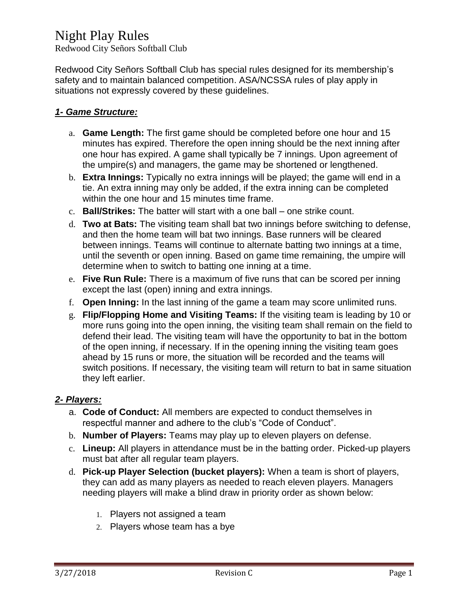Redwood City Señors Softball Club

Redwood City Señors Softball Club has special rules designed for its membership's safety and to maintain balanced competition. ASA/NCSSA rules of play apply in situations not expressly covered by these guidelines.

### *1- Game Structure:*

- a. **Game Length:** The first game should be completed before one hour and 15 minutes has expired. Therefore the open inning should be the next inning after one hour has expired. A game shall typically be 7 innings. Upon agreement of the umpire(s) and managers, the game may be shortened or lengthened.
- b. **Extra Innings:** Typically no extra innings will be played; the game will end in a tie. An extra inning may only be added, if the extra inning can be completed within the one hour and 15 minutes time frame.
- c. **Ball/Strikes:** The batter will start with a one ball one strike count.
- d. **Two at Bats:** The visiting team shall bat two innings before switching to defense, and then the home team will bat two innings. Base runners will be cleared between innings. Teams will continue to alternate batting two innings at a time, until the seventh or open inning. Based on game time remaining, the umpire will determine when to switch to batting one inning at a time.
- e. **Five Run Rule:** There is a maximum of five runs that can be scored per inning except the last (open) inning and extra innings.
- f. **Open Inning:** In the last inning of the game a team may score unlimited runs.
- g. **Flip/Flopping Home and Visiting Teams:** If the visiting team is leading by 10 or more runs going into the open inning, the visiting team shall remain on the field to defend their lead. The visiting team will have the opportunity to bat in the bottom of the open inning, if necessary. If in the opening inning the visiting team goes ahead by 15 runs or more, the situation will be recorded and the teams will switch positions. If necessary, the visiting team will return to bat in same situation they left earlier.

#### *2- Players:*

- a. **Code of Conduct:** All members are expected to conduct themselves in respectful manner and adhere to the club's "Code of Conduct".
- b. **Number of Players:** Teams may play up to eleven players on defense.
- c. **Lineup:** All players in attendance must be in the batting order. Picked-up players must bat after all regular team players.
- d. **Pick-up Player Selection (bucket players):** When a team is short of players, they can add as many players as needed to reach eleven players. Managers needing players will make a blind draw in priority order as shown below:
	- 1. Players not assigned a team
	- 2. Players whose team has a bye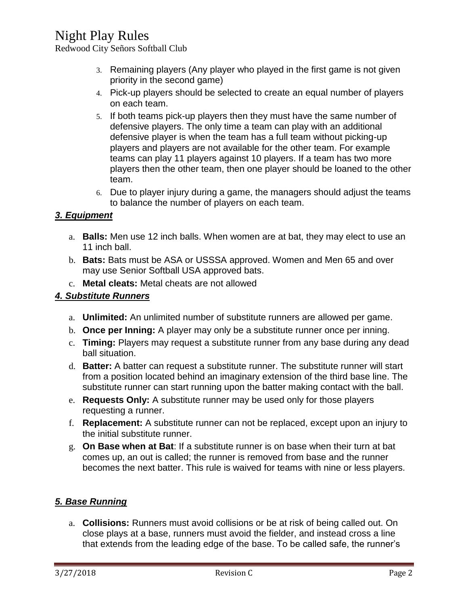Redwood City Señors Softball Club

- 3. Remaining players (Any player who played in the first game is not given priority in the second game)
- 4. Pick-up players should be selected to create an equal number of players on each team.
- 5. If both teams pick-up players then they must have the same number of defensive players. The only time a team can play with an additional defensive player is when the team has a full team without picking-up players and players are not available for the other team. For example teams can play 11 players against 10 players. If a team has two more players then the other team, then one player should be loaned to the other team.
- 6. Due to player injury during a game, the managers should adjust the teams to balance the number of players on each team.

## *3. Equipment*

- a. **Balls:** Men use 12 inch balls. When women are at bat, they may elect to use an 11 inch ball.
- b. **Bats:** Bats must be ASA or USSSA approved. Women and Men 65 and over may use Senior Softball USA approved bats.
- c. **Metal cleats:** Metal cheats are not allowed

## *4. Substitute Runners*

- a. **Unlimited:** An unlimited number of substitute runners are allowed per game.
- b. **Once per Inning:** A player may only be a substitute runner once per inning.
- c. **Timing:** Players may request a substitute runner from any base during any dead ball situation.
- d. **Batter:** A batter can request a substitute runner. The substitute runner will start from a position located behind an imaginary extension of the third base line. The substitute runner can start running upon the batter making contact with the ball.
- e. **Requests Only:** A substitute runner may be used only for those players requesting a runner.
- f. **Replacement:** A substitute runner can not be replaced, except upon an injury to the initial substitute runner.
- g. **On Base when at Bat**: If a substitute runner is on base when their turn at bat comes up, an out is called; the runner is removed from base and the runner becomes the next batter. This rule is waived for teams with nine or less players.

## *5. Base Running*

a. **Collisions:** Runners must avoid collisions or be at risk of being called out. On close plays at a base, runners must avoid the fielder, and instead cross a line that extends from the leading edge of the base. To be called safe, the runner's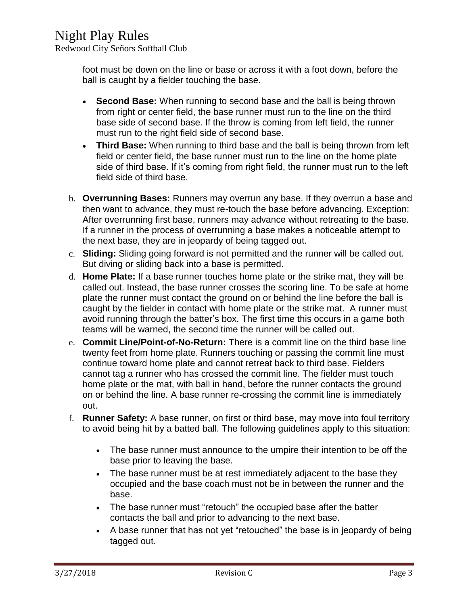Redwood City Señors Softball Club

foot must be down on the line or base or across it with a foot down, before the ball is caught by a fielder touching the base.

- **Second Base:** When running to second base and the ball is being thrown from right or center field, the base runner must run to the line on the third base side of second base. If the throw is coming from left field, the runner must run to the right field side of second base.
- **Third Base:** When running to third base and the ball is being thrown from left field or center field, the base runner must run to the line on the home plate side of third base. If it's coming from right field, the runner must run to the left field side of third base.
- b. **Overrunning Bases:** Runners may overrun any base. If they overrun a base and then want to advance, they must re-touch the base before advancing. Exception: After overrunning first base, runners may advance without retreating to the base. If a runner in the process of overrunning a base makes a noticeable attempt to the next base, they are in jeopardy of being tagged out.
- c. **Sliding:** Sliding going forward is not permitted and the runner will be called out. But diving or sliding back into a base is permitted.
- d. **Home Plate:** If a base runner touches home plate or the strike mat, they will be called out. Instead, the base runner crosses the scoring line. To be safe at home plate the runner must contact the ground on or behind the line before the ball is caught by the fielder in contact with home plate or the strike mat. A runner must avoid running through the batter's box. The first time this occurs in a game both teams will be warned, the second time the runner will be called out.
- e. **Commit Line/Point-of-No-Return:** There is a commit line on the third base line twenty feet from home plate. Runners touching or passing the commit line must continue toward home plate and cannot retreat back to third base. Fielders cannot tag a runner who has crossed the commit line. The fielder must touch home plate or the mat, with ball in hand, before the runner contacts the ground on or behind the line. A base runner re-crossing the commit line is immediately out.
- f. **Runner Safety:** A base runner, on first or third base, may move into foul territory to avoid being hit by a batted ball. The following guidelines apply to this situation:
	- The base runner must announce to the umpire their intention to be off the base prior to leaving the base.
	- The base runner must be at rest immediately adjacent to the base they occupied and the base coach must not be in between the runner and the base.
	- The base runner must "retouch" the occupied base after the batter contacts the ball and prior to advancing to the next base.
	- A base runner that has not yet "retouched" the base is in jeopardy of being tagged out.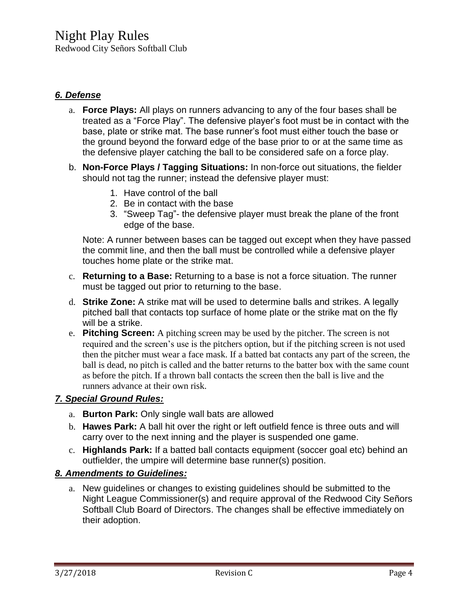Redwood City Señors Softball Club

#### *6. Defense*

- a. **Force Plays:** All plays on runners advancing to any of the four bases shall be treated as a "Force Play". The defensive player's foot must be in contact with the base, plate or strike mat. The base runner's foot must either touch the base or the ground beyond the forward edge of the base prior to or at the same time as the defensive player catching the ball to be considered safe on a force play.
- b. **Non-Force Plays / Tagging Situations:** In non-force out situations, the fielder should not tag the runner; instead the defensive player must:
	- 1. Have control of the ball
	- 2. Be in contact with the base
	- 3. "Sweep Tag"- the defensive player must break the plane of the front edge of the base.

Note: A runner between bases can be tagged out except when they have passed the commit line, and then the ball must be controlled while a defensive player touches home plate or the strike mat.

- c. **Returning to a Base:** Returning to a base is not a force situation. The runner must be tagged out prior to returning to the base.
- d. **Strike Zone:** A strike mat will be used to determine balls and strikes. A legally pitched ball that contacts top surface of home plate or the strike mat on the fly will be a strike.
- e. **Pitching Screen:** A pitching screen may be used by the pitcher. The screen is not required and the screen's use is the pitchers option, but if the pitching screen is not used then the pitcher must wear a face mask. If a batted bat contacts any part of the screen, the ball is dead, no pitch is called and the batter returns to the batter box with the same count as before the pitch. If a thrown ball contacts the screen then the ball is live and the runners advance at their own risk.

## *7. Special Ground Rules:*

- a. **Burton Park:** Only single wall bats are allowed
- b. **Hawes Park:** A ball hit over the right or left outfield fence is three outs and will carry over to the next inning and the player is suspended one game.
- c. **Highlands Park:** If a batted ball contacts equipment (soccer goal etc) behind an outfielder, the umpire will determine base runner(s) position.

### *8. Amendments to Guidelines:*

a. New guidelines or changes to existing guidelines should be submitted to the Night League Commissioner(s) and require approval of the Redwood City Señors Softball Club Board of Directors. The changes shall be effective immediately on their adoption.